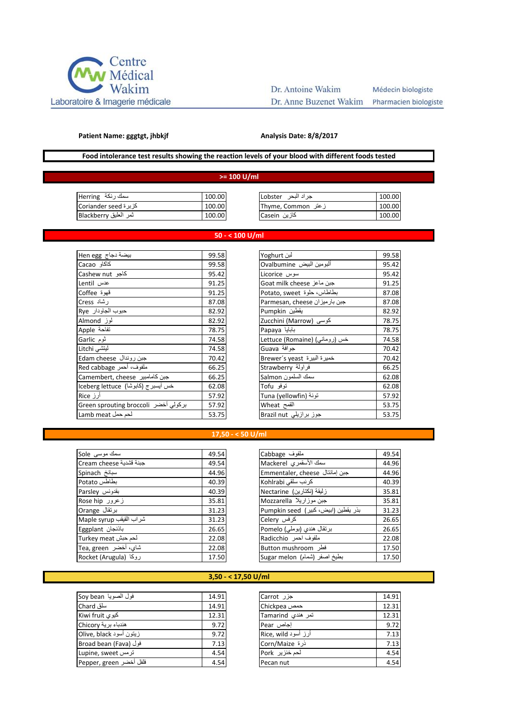

# Dr. Antoine Wakim

Dr. Anne Buzenet Wakim

Médecin biologiste Pharmacien biologiste

#### **Patient Name: gggtgt, jhbkjf**

#### **Analysis Date: 8/8/2017**

## **Food intolerance test results showing the reaction levels of your blood with different foods tested**

#### **>= 100 U/ml**

| سمك رنكة  Herring      | 100.00 | جراد البحر Lobster | 100.00 |
|------------------------|--------|--------------------|--------|
| کز بر ة Coriander seed | 100.00 | زعتر Thyme, Common | 100.00 |
| ثمر العليق Blackberry  | 100.00 | كازين Casein       | 100.00 |
|                        |        |                    |        |

### **50 - < 100 U/ml**

| بيضة دجاج Hen egg                    | 99.58 | لېن Yoghurt                   | 99.58 |
|--------------------------------------|-------|-------------------------------|-------|
| كاكاو Cacao                          | 99.58 | ألبومين البيض Ovalbumine      | 95.42 |
| كاجو Cashew nut                      | 95.42 | سوس Licorice                  | 95.42 |
| عدس Lentil                           | 91.25 | Goat milk cheese جبن ماعز     | 91.25 |
| قهوة Coffee                          | 91.25 | بطاطاس، حلوة Potato, sweet    | 87.08 |
| رشاد Cress                           | 87.08 | Parmesan, cheese ا            | 87.08 |
| حبوب الجاودار Rye                    | 82.92 | بقطين Pumpkin                 | 82.92 |
| لموز Almond                          | 82.92 | كوسى (Marrow) كوسى            | 78.75 |
| Apple تفاحة                          | 78.75 | Papaya بابايا                 | 78.75 |
| ثوم Garlic                           | 74.58 | خس (رومانی) (Lettuce (Romaine | 74.58 |
| ليتشى Litchi                         | 74.58 | Guava جوافة                   | 70.42 |
| جبن روندال Edam cheese               | 70.42 | خميرة البيرة  Brewer´s yeast  | 70.42 |
| Red cabbage ملفوف، أحمر              | 66.25 | فراولة Strawberry             | 66.25 |
| Camembert, cheese جبن كامامبير       | 66.25 | سمك السلمون Salmon            | 62.08 |
| خس أيسبرج (كابوشا) Iceberg lettuce   | 62.08 | توفو Tofu                     | 62.08 |
| أرز Rice                             | 57.92 | Tuna (yellowfin) تونة         | 57.92 |
| بركولي أخضر Green sprouting broccoli | 57.92 | القمح Wheat                   | 53.75 |
| Lamb meat لحم حمل                    | 53.75 | جوز برازيلي Brazil nut        | 53.75 |

| لبن Yoghurt                     | 99.58 |
|---------------------------------|-------|
| ألبومين البيض Ovalbumine        | 95.42 |
| سوس Licorice                    | 95.42 |
| جبن ماعز Goat milk cheese       | 91.25 |
| بطاطاس، حلوة Potato, sweet      | 87.08 |
| Parmesan, cheese جبن بار ميز ان | 87.08 |
| يقطين Pumpkin                   | 82.92 |
| کوسی (Marrow) کوسی              | 78.75 |
| بابايا Papaya                   | 78.75 |
| خس (روماني) (Lettuce (Romaine   | 74.58 |
| جوافة Guava                     | 70.42 |
| خميرة البيرة Srewer´s yeast     | 70.42 |
| فراولة Strawberry               | 66.25 |
| سمك السلمون Salmon              | 62.08 |
| توفو Tofu                       | 62.08 |
| تونة (Tuna (yellowfin           | 57.92 |
| القمح Wheat                     | 53.75 |
| جوز برازيلي Brazil nut          | 53.75 |
|                                 |       |

#### **17,50 - < 50 U/ml**

| سمك موسى Sole           | 49.54 | ملفوف Cabbage                       | 49.54 |
|-------------------------|-------|-------------------------------------|-------|
| Cream cheese جبنة قشدية | 49.54 | سمك الأسقمري Mackerel               | 44.96 |
| سبانخ Spinach           | 44.96 | Emmentaler, cheese جبن إمانتال      | 44.96 |
| بطاطس Potato            | 40.39 | كرنب سلقى Kohlrabi                  | 40.39 |
| بقدونس Parsley          | 40.39 | زليقة (نكتارين) Nectarine           | 35.81 |
| زعرور Rose hip          | 35.81 | جبن موزاريلا Mozzarella             | 35.81 |
| برنقال Orange           | 31.23 | بذر يقطين (ابيض، كبير) Pumpkin seed | 31.23 |
| شراب القيقب Maple syrup | 31.23 | کرفس Celery                         | 26.65 |
| باذنجان Eggplant        | 26.65 | برتقال هندي (بوملي) Pomelo          | 26.65 |
| لحم حبش Turkey meat     | 22.08 | ملفوف احمر Radicchio                | 22.08 |
| شای، أخضر Tea, green    | 22.08 | فطر Button mushroom                 | 17.50 |
| Rocket (Arugula) روكا   | 17.50 | بطيخ اصفر (شمام) Sugar melon        | 17.50 |

## **3,50 - < 17,50 U/ml**

| فول الصويا Soy bean     | 14.91 | جزر Carrot          | 14.91 |
|-------------------------|-------|---------------------|-------|
| سلق Chard               | 14.91 | Chickpea            | 12.31 |
| کیوی Kiwi fruit         | 12.31 | تمر هندی Tamarind   | 12.31 |
| هندباء برية Chicory     | 9.72  | Pear اجاص           | 9.72  |
| زيتون أسود Olive, black | 9.72  | أرز أسود Rice, wild | 7.13  |
| فول (Broad bean (Fava   | 7.13  | ذرة Corn/Maize      | 7.13  |
| Lupine, sweet ترمس      | 4.54  | لحم خنزیر Pork      | 4.54  |
| فلفل أخضر Pepper, green | 4.54  | Pecan nut           | 4.54  |

| جزر Carrot          | 14.91 |
|---------------------|-------|
| حمص Chickpea        | 12.31 |
| تمر هندی Tamarind   | 12.31 |
| إجاص Pear           | 9.72  |
| أرز أسود Rice, wild | 7.13  |
| ذرة Corn/Maize      | 7.13  |
| لحم خنزیر Pork      | 4.54  |
| Pecan nut           | 4.54  |